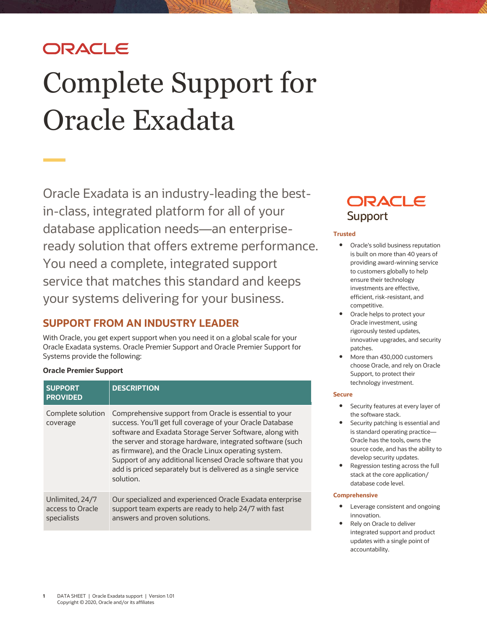# ORACLE

# Complete Support for Oracle Exadata

 in-class, integrated platform for all of your ready solution that offers extreme performance. You need a complete, integrated support service that matches this standard and keeps Oracle Exadata is an industry-leading the bestdatabase application needs—an enterpriseyour systems delivering for your business.

## **SUPPORT FROM AN INDUSTRY LEADER**

 With Oracle, you get expert support when you need it on a global scale for your Oracle Exadata systems. Oracle Premier Support and Oracle Premier Support for Systems provide the following:

## **Oracle Premier Support**

| <b>SUPPORT</b><br><b>PROVIDED</b>                  | <b>DESCRIPTION</b>                                                                                                                                                                                                                                                                                                                                                                                                                                 |
|----------------------------------------------------|----------------------------------------------------------------------------------------------------------------------------------------------------------------------------------------------------------------------------------------------------------------------------------------------------------------------------------------------------------------------------------------------------------------------------------------------------|
| Complete solution<br>coverage                      | Comprehensive support from Oracle is essential to your<br>success. You'll get full coverage of your Oracle Database<br>software and Exadata Storage Server Software, along with<br>the server and storage hardware, integrated software (such<br>as firmware), and the Oracle Linux operating system.<br>Support of any additional licensed Oracle software that you<br>add is priced separately but is delivered as a single service<br>solution. |
| Unlimited, 24/7<br>access to Oracle<br>specialists | Our specialized and experienced Oracle Exadata enterprise<br>support team experts are ready to help 24/7 with fast<br>answers and proven solutions.                                                                                                                                                                                                                                                                                                |

## ORACL E Support

## **Trusted**

- Oracle's solid business reputation is built on more than 40 years of providing award-winning service to customers globally to help ensure their technology investments are effective, efficient, risk-resistant, and competitive.
- Oracle helps to protect your innovative upgrades, and security Oracle investment, using rigorously tested updates, patches.
- More than 430,000 customers choose Oracle, and rely on Oracle Support, to protect their technology investment.

#### **Secure**

- **Security features at every layer of** the software stack.
- **•** Security patching is essential and Oracle has the tools, owns the source code, and has the ability to is standard operating practice develop security updates.
- Regression testing across the full stack at the core application/ database code level.

#### **Comprehensive**

- Leverage consistent and ongoing innovation.
- Rely on Oracle to deliver updates with a single point of integrated support and product accountability.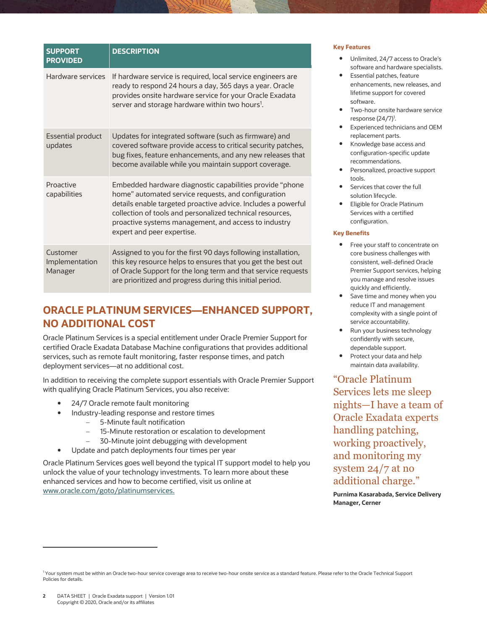| <b>SUPPORT</b><br><b>PROVIDED</b>     | <b>DESCRIPTION</b>                                                                                                                                                                                                                                                                                                                  |
|---------------------------------------|-------------------------------------------------------------------------------------------------------------------------------------------------------------------------------------------------------------------------------------------------------------------------------------------------------------------------------------|
| Hardware services                     | If hardware service is required, local service engineers are<br>ready to respond 24 hours a day, 365 days a year. Oracle<br>provides onsite hardware service for your Oracle Exadata<br>server and storage hardware within two hours <sup>1</sup> .                                                                                 |
| <b>Essential product</b><br>updates   | Updates for integrated software (such as firmware) and<br>covered software provide access to critical security patches,<br>bug fixes, feature enhancements, and any new releases that<br>become available while you maintain support coverage.                                                                                      |
| Proactive<br>capabilities             | Embedded hardware diagnostic capabilities provide "phone<br>home" automated service requests, and configuration<br>details enable targeted proactive advice. Includes a powerful<br>collection of tools and personalized technical resources,<br>proactive systems management, and access to industry<br>expert and peer expertise. |
| Customer<br>Implementation<br>Manager | Assigned to you for the first 90 days following installation,<br>this key resource helps to ensures that you get the best out<br>of Oracle Support for the long term and that service requests<br>are prioritized and progress during this initial period.                                                                          |

## **ORACLE PLATINUM SERVICES—ENHANCED SUPPORT, NO ADDITIONAL COST**

 Oracle Platinum Services is a special entitlement under Oracle Premier Support for services, such as remote fault monitoring, faster response times, and patch deployment services—at no additional cost. certified Oracle Exadata Database Machine configurations that provides additional

 In addition to receiving the complete support essentials with Oracle Premier Support with qualifying Oracle Platinum Services, you also receive:

- 24/7 Oracle remote fault monitoring
- Industry-leading response and restore times
	- 5-Minute fault notification
	- 15-Minute restoration or escalation to development
	- 30-Minute joint debugging with development
- Update and patch deployments four times per year

 Oracle Platinum Services goes well beyond the typical IT support model to help you unlock the value of your technology investments. To learn more about these enhanced services and how to become certified, visit us online at [www.oracle.com/goto/platinumservices.](http://www.oracle.com/goto/platinumservices) 

#### **Key Features**

- Unlimited, 24/7 access to Oracle's software and hardware specialists.
- Essential patches, feature lifetime support for covered enhancements, new releases, and software.
- Two-hour onsite hardware service response (24/7)<sup>1</sup>.
- Experienced technicians and OEM replacement parts.
- Knowledge base access and configuration-specific update recommendations.
- Personalized, proactive support tools.
- **•** Services that cover the full solution lifecycle.
- **•** Eligible for Oracle Platinum Services with a certified configuration.

#### **Key Benefits**

- Free your staff to concentrate on core business challenges with Premier Support services, helping you manage and resolve issues consistent, well-defined Oracle quickly and efficiently.
- Save time and money when you complexity with a single point of reduce IT and management service accountability.
- Run your business technology confidently with secure, dependable support.
- Protect your data and help maintain data availability.

"Oracle Platinum Services lets me sleep nights—I have a team of Oracle Exadata experts handling patching, working proactively, and monitoring my system 24/7 at no additional charge."

 **Purnima Kasarabada, Service Delivery Manager, Cerner** 

j

<sup>&</sup>lt;sup>1</sup> Your system must be within an Oracle two-hour service coverage area to receive two-hour onsite service as a standard feature. Please refer to the Oracle Technical Support Policies for details.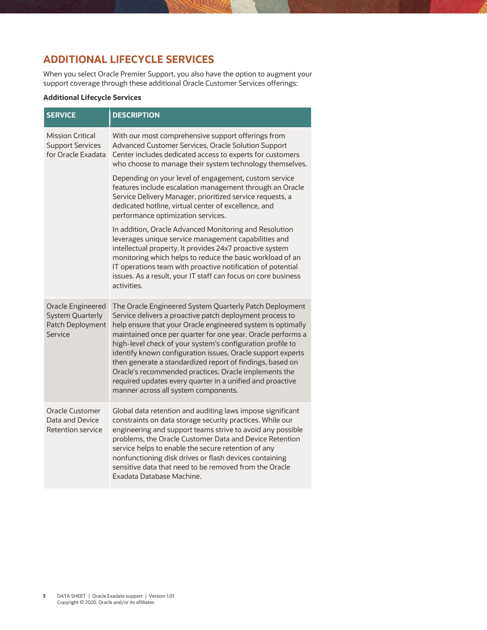## **ADDITIONAL LIFECYCLE SERVICES**

When you select Oracle Premier Support, you also have the option to augment your support coverage through these additional Oracle Customer Services offerings:

## **Additional Lifecycle Services**

| <b>SERVICE</b>                                                                     | <b>DESCRIPTION</b>                                                                                                                                                                                                                                                                                                                                                                                                                                                                                                                                                                                        |
|------------------------------------------------------------------------------------|-----------------------------------------------------------------------------------------------------------------------------------------------------------------------------------------------------------------------------------------------------------------------------------------------------------------------------------------------------------------------------------------------------------------------------------------------------------------------------------------------------------------------------------------------------------------------------------------------------------|
| <b>Mission Critical</b><br><b>Support Services</b><br>for Oracle Exadata           | With our most comprehensive support offerings from<br>Advanced Customer Services, Oracle Solution Support<br>Center includes dedicated access to experts for customers<br>who choose to manage their system technology themselves.                                                                                                                                                                                                                                                                                                                                                                        |
|                                                                                    | Depending on your level of engagement, custom service<br>features include escalation management through an Oracle<br>Service Delivery Manager, prioritized service requests, a<br>dedicated hotline, virtual center of excellence, and<br>performance optimization services.                                                                                                                                                                                                                                                                                                                              |
|                                                                                    | In addition, Oracle Advanced Monitoring and Resolution<br>leverages unique service management capabilities and<br>intellectual property. It provides 24x7 proactive system<br>monitoring which helps to reduce the basic workload of an<br>IT operations team with proactive notification of potential<br>issues. As a result, your IT staff can focus on core business<br>activities.                                                                                                                                                                                                                    |
| <b>Oracle Engineered</b><br><b>System Quarterly</b><br>Patch Deployment<br>Service | The Oracle Engineered System Quarterly Patch Deployment<br>Service delivers a proactive patch deployment process to<br>help ensure that your Oracle engineered system is optimally<br>maintained once per quarter for one year. Oracle performs a<br>high-level check of your system's configuration profile to<br>identify known configuration issues. Oracle support experts<br>then generate a standardized report of findings, based on<br>Oracle's recommended practices. Oracle implements the<br>required updates every quarter in a unified and proactive<br>manner across all system components. |
| <b>Oracle Customer</b><br>Data and Device<br><b>Retention service</b>              | Global data retention and auditing laws impose significant<br>constraints on data storage security practices. While our<br>engineering and support teams strive to avoid any possible<br>problems, the Oracle Customer Data and Device Retention<br>service helps to enable the secure retention of any<br>nonfunctioning disk drives or flash devices containing<br>sensitive data that need to be removed from the Oracle<br>Exadata Database Machine.                                                                                                                                                  |